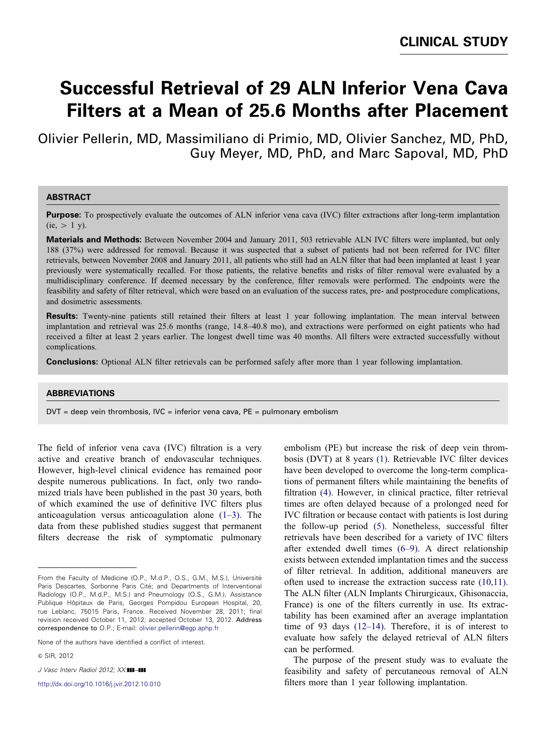# **Successful Retrieval of 29 ALN Inferior Vena Cava Filters at a Mean of 25.6 Months after Placement**

Olivier Pellerin, MD, Massimiliano di Primio, MD, Olivier Sanchez, MD, PhD, Guy Meyer, MD, PhD, and Marc Sapoval, MD, PhD

#### **ABSTRACT**

**Purpose:** To prospectively evaluate the outcomes of ALN inferior vena cava (IVC) filter extractions after long-term implantation  $(ie, > 1 y).$ 

**Materials and Methods:** Between November 2004 and January 2011, 503 retrievable ALN IVC filters were implanted, but only 188 (37%) were addressed for removal. Because it was suspected that a subset of patients had not been referred for IVC filter retrievals, between November 2008 and January 2011, all patients who still had an ALN filter that had been implanted at least 1 year previously were systematically recalled. For those patients, the relative benefits and risks of filter removal were evaluated by a multidisciplinary conference. If deemed necessary by the conference, filter removals were performed. The endpoints were the feasibility and safety of filter retrieval, which were based on an evaluation of the success rates, pre- and postprocedure complications, and dosimetric assessments.

**Results:** Twenty-nine patients still retained their filters at least 1 year following implantation. The mean interval between implantation and retrieval was 25.6 months (range, 14.8–40.8 mo), and extractions were performed on eight patients who had received a filter at least 2 years earlier. The longest dwell time was 40 months. All filters were extracted successfully without complications.

**Conclusions:** Optional ALN filter retrievals can be performed safely after more than 1 year following implantation.

#### **ABBREVIATIONS**

 $DVT = deep$  vein thrombosis,  $IVC = inferior$  vena cava,  $PE = pulmonary$  embolism

The field of inferior vena cava (IVC) filtration is a very active and creative branch of endovascular techniques. However, high-level clinical evidence has remained poor despite numerous publications. In fact, only two randomized trials have been published in the past 30 years, both of which examined the use of definitive IVC filters plus anticoagulation versus anticoagulation alone  $(1-3)$ . The data from these published studies suggest that permanent filters decrease the risk of symptomatic pulmonary

None of the authors have identified a conflict of interest.

& SIR, 2012

J Vasc Interv Radiol 2012; XX:111-111

[http://dx.doi.org/10.1016/j.jvir.2012.10.010](dx.doi.org/10.1016/j.jvir.2012.10.010)

embolism (PE) but increase the risk of deep vein thrombosis (DVT) at 8 years [\(1\)](#page-3-0). Retrievable IVC filter devices have been developed to overcome the long-term complications of permanent filters while maintaining the benefits of filtration [\(4\).](#page-3-0) However, in clinical practice, filter retrieval times are often delayed because of a prolonged need for IVC filtration or because contact with patients is lost during the follow-up period [\(5\)](#page-4-0). Nonetheless, successful filter retrievals have been described for a variety of IVC filters after extended dwell times [\(6–9\).](#page-4-0) A direct relationship exists between extended implantation times and the success of filter retrieval. In addition, additional maneuvers are often used to increase the extraction success rate [\(10,11\)](#page-4-0). The ALN filter (ALN Implants Chirurgicaux, Ghisonaccia, France) is one of the filters currently in use. Its extractability has been examined after an average implantation time of 93 days [\(12–14\)](#page-4-0). Therefore, it is of interest to evaluate how safely the delayed retrieval of ALN filters can be performed.

The purpose of the present study was to evaluate the feasibility and safety of percutaneous removal of ALN filters more than 1 year following implantation.

From the Faculty of Medicine (O.P., M.d.P., O.S., G.M., M.S.), Université Paris Descartes, Sorbonne Paris Cité; and Departments of Interventional Radiology (O.P., M.d.P., M.S.) and Pneumology (O.S., G.M.), Assistance Publique Hôpitaux de Paris, Georges Pompidou European Hospital, 20, rue Leblanc, 75015 Paris, France. Received November 28, 2011; final revision received October 11, 2012; accepted October 13, 2012. Address correspondence to O.P.; E-mail: [olivier.pellerin@egp.aphp.fr](mailto:olivier.pellerin@egp.aphp.fr)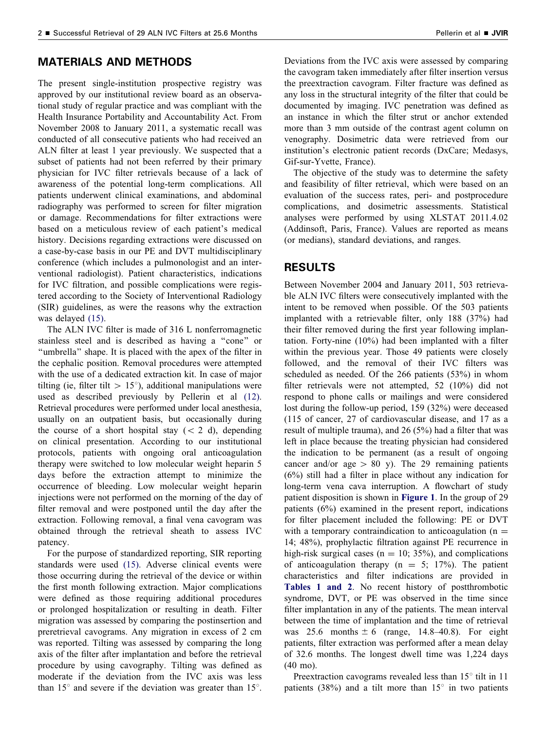#### **MATERIALS AND METHODS**

The present single-institution prospective registry was approved by our institutional review board as an observational study of regular practice and was compliant with the Health Insurance Portability and Accountability Act. From November 2008 to January 2011, a systematic recall was conducted of all consecutive patients who had received an ALN filter at least 1 year previously. We suspected that a subset of patients had not been referred by their primary physician for IVC filter retrievals because of a lack of awareness of the potential long-term complications. All patients underwent clinical examinations, and abdominal radiography was performed to screen for filter migration or damage. Recommendations for filter extractions were based on a meticulous review of each patient's medical history. Decisions regarding extractions were discussed on a case-by-case basis in our PE and DVT multidisciplinary conference (which includes a pulmonologist and an interventional radiologist). Patient characteristics, indications for IVC filtration, and possible complications were registered according to the Society of Interventional Radiology (SIR) guidelines, as were the reasons why the extraction was delayed [\(15\)](#page-4-0).

The ALN IVC filter is made of 316 L nonferromagnetic stainless steel and is described as having a ''cone'' or ''umbrella'' shape. It is placed with the apex of the filter in the cephalic position. Removal procedures were attempted with the use of a dedicated extraction kit. In case of major tilting (ie, filter tilt  $> 15^{\circ}$ ), additional manipulations were used as described previously by Pellerin et al [\(12\)](#page-4-0). Retrieval procedures were performed under local anesthesia, usually on an outpatient basis, but occasionally during the course of a short hospital stay  $(< 2 \text{ d})$ , depending on clinical presentation. According to our institutional protocols, patients with ongoing oral anticoagulation therapy were switched to low molecular weight heparin 5 days before the extraction attempt to minimize the occurrence of bleeding. Low molecular weight heparin injections were not performed on the morning of the day of filter removal and were postponed until the day after the extraction. Following removal, a final vena cavogram was obtained through the retrieval sheath to assess IVC patency.

For the purpose of standardized reporting, SIR reporting standards were used [\(15\).](#page-4-0) Adverse clinical events were those occurring during the retrieval of the device or within the first month following extraction. Major complications were defined as those requiring additional procedures or prolonged hospitalization or resulting in death. Filter migration was assessed by comparing the postinsertion and preretrieval cavograms. Any migration in excess of 2 cm was reported. Tilting was assessed by comparing the long axis of the filter after implantation and before the retrieval procedure by using cavography. Tilting was defined as moderate if the deviation from the IVC axis was less than  $15^{\circ}$  and severe if the deviation was greater than  $15^{\circ}$ .

Deviations from the IVC axis were assessed by comparing the cavogram taken immediately after filter insertion versus the preextraction cavogram. Filter fracture was defined as any loss in the structural integrity of the filter that could be documented by imaging. IVC penetration was defined as an instance in which the filter strut or anchor extended more than 3 mm outside of the contrast agent column on venography. Dosimetric data were retrieved from our institution's electronic patient records (DxCare; Medasys, Gif-sur-Yvette, France).

The objective of the study was to determine the safety and feasibility of filter retrieval, which were based on an evaluation of the success rates, peri- and postprocedure complications, and dosimetric assessments. Statistical analyses were performed by using XLSTAT 2011.4.02 (Addinsoft, Paris, France). Values are reported as means (or medians), standard deviations, and ranges.

### **RESULTS**

Between November 2004 and January 2011, 503 retrievable ALN IVC filters were consecutively implanted with the intent to be removed when possible. Of the 503 patients implanted with a retrievable filter, only 188 (37%) had their filter removed during the first year following implantation. Forty-nine (10%) had been implanted with a filter within the previous year. Those 49 patients were closely followed, and the removal of their IVC filters was scheduled as needed. Of the 266 patients (53%) in whom filter retrievals were not attempted, 52 (10%) did not respond to phone calls or mailings and were considered lost during the follow-up period, 159 (32%) were deceased (115 of cancer, 27 of cardiovascular disease, and 17 as a result of multiple trauma), and 26 (5%) had a filter that was left in place because the treating physician had considered the indication to be permanent (as a result of ongoing cancer and/or age  $> 80$  y). The 29 remaining patients (6%) still had a filter in place without any indication for long-term vena cava interruption. A flowchart of study patient disposition is shown in **[Figure 1](#page-2-0)**. In the group of 29 patients (6%) examined in the present report, indications for filter placement included the following: PE or DVT with a temporary contraindication to anticoagulation ( $n =$ 14; 48%), prophylactic filtration against PE recurrence in high-risk surgical cases ( $n = 10$ ; 35%), and complications of anticoagulation therapy ( $n = 5$ ; 17%). The patient characteristics and filter indications are provided in **[Tables 1 and 2](#page-2-0)**. No recent history of postthrombotic syndrome, DVT, or PE was observed in the time since filter implantation in any of the patients. The mean interval between the time of implantation and the time of retrieval was 25.6 months  $\pm$  6 (range, 14.8–40.8). For eight patients, filter extraction was performed after a mean delay of 32.6 months. The longest dwell time was 1,224 days (40 mo).

Preextraction cavograms revealed less than  $15^{\circ}$  tilt in 11 patients (38%) and a tilt more than  $15^{\circ}$  in two patients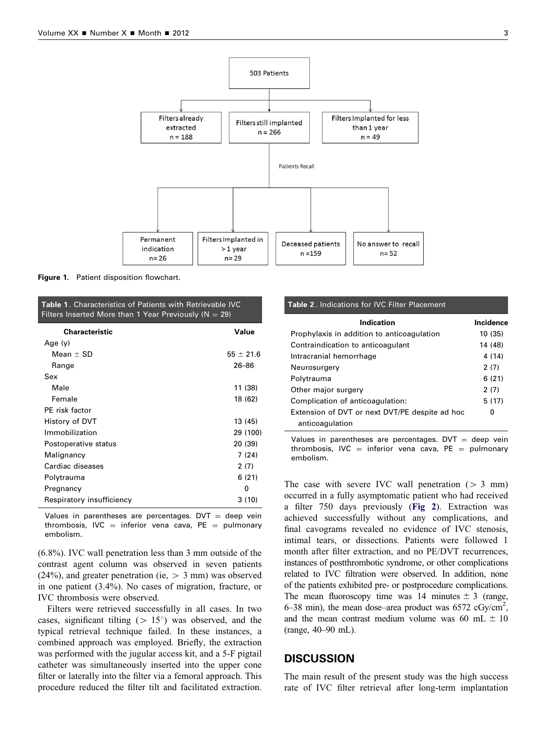<span id="page-2-0"></span>

**Figure 1.** Patient disposition flowchart.

| <b>Table 1.</b> Characteristics of Patients with Retrievable IVC.  |  |  |
|--------------------------------------------------------------------|--|--|
| Filters Inserted More than $\overline{1}$ Year Previously (N = 29) |  |  |

| Characteristic            | Value         |
|---------------------------|---------------|
| Age $(y)$                 |               |
| Mean $\pm$ SD             | $55 \pm 21.6$ |
| Range                     | $26 - 86$     |
| Sex                       |               |
| Male                      | 11 (38)       |
| Female                    | 18 (62)       |
| PE risk factor            |               |
| History of DVT            | 13 (45)       |
| Immobilization            | 29 (100)      |
| Postoperative status      | 20 (39)       |
| Malignancy                | 7(24)         |
| Cardiac diseases          | 2(7)          |
| Polytrauma                | 6(21)         |
| Pregnancy                 | 0             |
| Respiratory insufficiency | 3(10)         |

Values in parentheses are percentages.  $DVT = deep$  vein thrombosis, IVC = inferior vena cava,  $PE$  = pulmonary embolism.

(6.8%). IVC wall penetration less than 3 mm outside of the contrast agent column was observed in seven patients (24%), and greater penetration (ie,  $> 3$  mm) was observed in one patient (3.4%). No cases of migration, fracture, or IVC thrombosis were observed.

Filters were retrieved successfully in all cases. In two cases, significant tilting  $(> 15^{\circ})$  was observed, and the typical retrieval technique failed. In these instances, a combined approach was employed. Briefly, the extraction was performed with the jugular access kit, and a 5-F pigtail catheter was simultaneously inserted into the upper cone filter or laterally into the filter via a femoral approach. This procedure reduced the filter tilt and facilitated extraction.

## **Table 2** . Indications for IVC Filter Placement **Indication and Incidence**

| indication                                     | incidence |
|------------------------------------------------|-----------|
| Prophylaxis in addition to anticoagulation     | 10 (35)   |
| Contraindication to anticoagulant              | 14 (48)   |
| Intracranial hemorrhage                        | 4(14)     |
| Neurosurgery                                   | 2(7)      |
| Polytrauma                                     | 6(21)     |
| Other major surgery                            | 2(7)      |
| Complication of anticoagulation:               | 5(17)     |
| Extension of DVT or next DVT/PE despite ad hoc | 0         |
| anticoagulation                                |           |

Values in parentheses are percentages.  $DVT = deep$  vein thrombosis, IVC = inferior vena cava, PE = pulmonary embolism.

The case with severe IVC wall penetration  $(> 3 \text{ mm})$ occurred in a fully asymptomatic patient who had received a filter 750 days previously (**[Fig 2](#page-3-0)**). Extraction was achieved successfully without any complications, and final cavograms revealed no evidence of IVC stenosis, intimal tears, or dissections. Patients were followed 1 month after filter extraction, and no PE/DVT recurrences, instances of postthrombotic syndrome, or other complications related to IVC filtration were observed. In addition, none of the patients exhibited pre- or postprocedure complications. The mean fluoroscopy time was 14 minutes  $\pm$  3 (range, 6–38 min), the mean dose–area product was  $6572 \text{ cGy/cm}^2$ , and the mean contrast medium volume was 60 mL  $\pm$  10 (range, 40–90 mL).

#### **DISCUSSION**

The main result of the present study was the high success rate of IVC filter retrieval after long-term implantation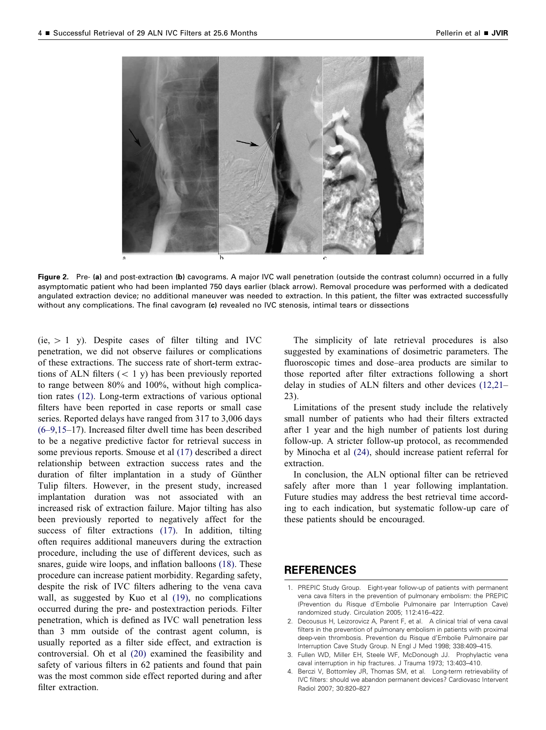<span id="page-3-0"></span>

**Figure 2.** Pre- **(a)** and post-extraction **(b)** cavograms. A major IVC wall penetration (outside the contrast column) occurred in a fully asymptomatic patient who had been implanted 750 days earlier (black arrow). Removal procedure was performed with a dedicated angulated extraction device; no additional maneuver was needed to extraction. In this patient, the filter was extracted successfully without any complications. The final cavogram **(c)** revealed no IVC stenosis, intimal tears or dissections

 $(ie, > 1 y)$ . Despite cases of filter tilting and IVC penetration, we did not observe failures or complications of these extractions. The success rate of short-term extractions of ALN filters  $(< 1 y)$  has been previously reported to range between 80% and 100%, without high complication rates [\(12\)](#page-4-0). Long-term extractions of various optional filters have been reported in case reports or small case series. Reported delays have ranged from 317 to 3,006 days [\(6–9,15](#page-4-0)–17). Increased filter dwell time has been described to be a negative predictive factor for retrieval success in some previous reports. Smouse et al [\(17\)](#page-4-0) described a direct relationship between extraction success rates and the duration of filter implantation in a study of Günther Tulip filters. However, in the present study, increased implantation duration was not associated with an increased risk of extraction failure. Major tilting has also been previously reported to negatively affect for the success of filter extractions [\(17\)](#page-4-0). In addition, tilting often requires additional maneuvers during the extraction procedure, including the use of different devices, such as snares, guide wire loops, and inflation balloons [\(18\)](#page-4-0). These procedure can increase patient morbidity. Regarding safety, despite the risk of IVC filters adhering to the vena cava wall, as suggested by Kuo et al [\(19\),](#page-4-0) no complications occurred during the pre- and postextraction periods. Filter penetration, which is defined as IVC wall penetration less than 3 mm outside of the contrast agent column, is usually reported as a filter side effect, and extraction is controversial. Oh et al [\(20\)](#page-4-0) examined the feasibility and safety of various filters in 62 patients and found that pain was the most common side effect reported during and after filter extraction.

The simplicity of late retrieval procedures is also suggested by examinations of dosimetric parameters. The fluoroscopic times and dose–area products are similar to those reported after filter extractions following a short delay in studies of ALN filters and other devices [\(12,21–](#page-4-0) 23).

Limitations of the present study include the relatively small number of patients who had their filters extracted after 1 year and the high number of patients lost during follow-up. A stricter follow-up protocol, as recommended by Minocha et al [\(24\),](#page-4-0) should increase patient referral for extraction.

In conclusion, the ALN optional filter can be retrieved safely after more than 1 year following implantation. Future studies may address the best retrieval time according to each indication, but systematic follow-up care of these patients should be encouraged.

### **REFERENCES**

- 1. PREPIC Study Group. Eight-year follow-up of patients with permanent vena cava filters in the prevention of pulmonary embolism: the PREPIC (Prevention du Risque d'Embolie Pulmonaire par Interruption Cave) randomized study. Circulation 2005; 112:416–422.
- 2. Decousus H, Leizorovicz A, Parent F, et al. A clinical trial of vena caval filters in the prevention of pulmonary embolism in patients with proximal deep-vein thrombosis. Prevention du Risque d'Embolie Pulmonaire par Interruption Cave Study Group. N Engl J Med 1998; 338:409–415.
- 3. Fullen WD, Miller EH, Steele WF, McDonough JJ. Prophylactic vena caval interruption in hip fractures. J Trauma 1973; 13:403–410.
- 4. Berczi V, Bottomley JR, Thomas SM, et al. Long-term retrievability of IVC filters: should we abandon permanent devices? Cardiovasc Intervent Radiol 2007; 30:820–827